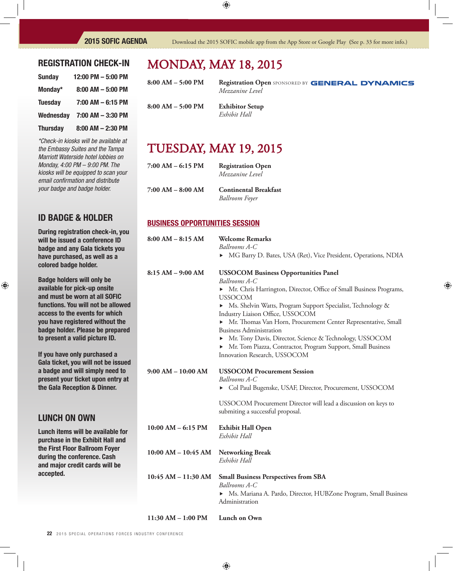**Registration Open SPONSORED BY GENERAL DYNAMICS** 

#### REGISTRATION CHECK-IN

| <b>Sunday</b>   | 12:00 PM - 5:00 PM   |
|-----------------|----------------------|
| Monday*         | $8:00$ AM $-5:00$ PM |
| <b>Tuesday</b>  | $7:00$ AM $-6:15$ PM |
| Wednesday       | 7:00 AM - 3:30 PM    |
| <b>Thursday</b> | 8:00 AM - 2:30 PM    |

*\*Check-in kiosks will be available at the Embassy Suites and the Tampa Marriott Waterside hotel lobbies on Monday, 4:00 PM – 9:00 PM. The kiosks will be equipped to scan your email confi rmation and distribute your badge and badge holder.*

### ID BADGE & HOLDER

During registration check-in, you will be issued a conference ID badge and any Gala tickets you have purchased, as well as a colored badge holder.

Badge holders will only be available for pick-up onsite and must be worn at all SOFIC functions. You will not be allowed access to the events for which you have registered without the badge holder. Please be prepared to present a valid picture ID.

If you have only purchased a Gala ticket, you will not be issued a badge and will simply need to present your ticket upon entry at the Gala Reception & Dinner.

### LUNCH ON OWN

Lunch items will be available for purchase in the Exhibit Hall and the First Floor Ballroom Foyer during the conference. Cash and major credit cards will be accepted.

## MONDAy, MAy 18, 2015

| 8:00 AM – 5:00 PM |  |  |
|-------------------|--|--|
| 8:00 AM – 5:00 PM |  |  |

**Exhibitor Setup**  $Exhibit Hall$ 

*Mezzanine* Level

## TUESDAy, MAy 19, 2015

| 7:00 AM – 6:15 PM | <b>Registration Open</b><br>Mezzanine Level |
|-------------------|---------------------------------------------|
| 7:00 AM – 8:00 AM | <b>Continental Break</b>                    |

 $B$ **reakfast**  *Ballroom Foyer*

#### BUSINESS OPPORTUNITIES SESSION

| $8:00 AM - 8:15 AM$     | <b>Welcome Remarks</b><br>Ballrooms A-C                                                                                                                    |  |  |
|-------------------------|------------------------------------------------------------------------------------------------------------------------------------------------------------|--|--|
|                         | MG Barry D. Bates, USA (Ret), Vice President, Operations, NDIA                                                                                             |  |  |
| $8:15 AM - 9:00 AM$     | <b>USSOCOM Business Opportunities Panel</b><br>Ballrooms A-C                                                                                               |  |  |
|                         | • Mr. Chris Harrington, Director, Office of Small Business Programs,<br><b>USSOCOM</b>                                                                     |  |  |
|                         | > Ms. Shelvin Watts, Program Support Specialist, Technology &<br>Industry Liaison Office, USSOCOM                                                          |  |  |
|                         | Mr. Thomas Van Horn, Procurement Center Representative, Small<br><b>Business Administration</b>                                                            |  |  |
|                         | • Mr. Tony Davis, Director, Science & Technology, USSOCOM<br>• Mr. Tom Piazza, Contractor, Program Support, Small Business<br>Innovation Research, USSOCOM |  |  |
| $9:00 AM - 10:00 AM$    | <b>USSOCOM Procurement Session</b>                                                                                                                         |  |  |
|                         | Ballrooms A-C<br>Col Paul Bugenske, USAF, Director, Procurement, USSOCOM                                                                                   |  |  |
|                         | USSOCOM Procurement Director will lead a discussion on keys to<br>submiting a successful proposal.                                                         |  |  |
| $10:00$ AM $-$ 6:15 PM  | <b>Exhibit Hall Open</b><br>Exhibit Hall                                                                                                                   |  |  |
| $10:00$ AM $- 10:45$ AM | <b>Networking Break</b><br>Exhibit Hall                                                                                                                    |  |  |
| $10:45$ AM $- 11:30$ AM | <b>Small Business Perspectives from SBA</b><br>Ballrooms A-C                                                                                               |  |  |
|                         | • Ms. Mariana A. Pardo, Director, HUBZone Program, Small Business<br>Administration                                                                        |  |  |
| $11:30 AM - 1:00 PM$    | Lunch on Own                                                                                                                                               |  |  |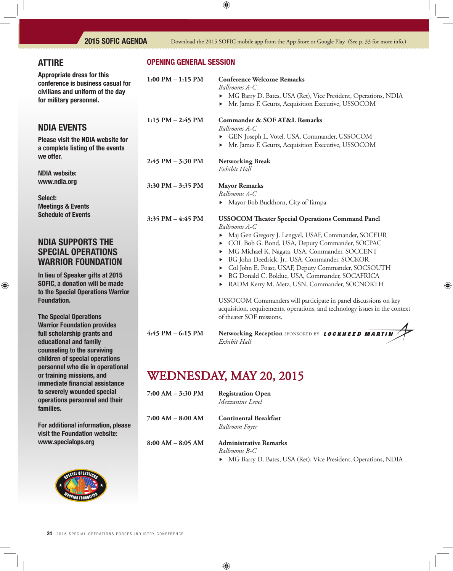## ATTIRE

Appropriate dress for this conference is business casual fo civilians and uniform of the day for military personnel.

### NDIA EVENTS

Please visit the NDIA website fo a complete listing of the events we offer.

NDIA website: www.ndia.org

Select: Meetings & Events Schedule of Events

### NDIA SUPPORTS THE SPECIAL OPERATIONS WARRIOR FOUNDATION

In lieu of Speaker gifts at 2015 SOFIC, a donation will be made to the Special Operations Warrio Foundation.

The Special Operations Warrior Foundation provides full scholarship grants and educational and family counseling to the surviving children of special operations personnel who die in operational or training missions, and immediate financial assistance to severely wounded special operations personnel and their families.

For additional information, please visit the Foundation website: www.specialops.org



#### OPENING GENERAL SESSION

| 0r | $1:00$ PM $-1:15$ PM  | <b>Conference Welcome Remarks</b><br>Ballrooms A-C<br>MG Barry D. Bates, USA (Ret), Vice President, Operations, NDIA<br>▶<br>Mr. James F. Geurts, Acquisition Executive, USSOCOM<br>▶                                                                                                                                                                                                                                                                                                                                                                                                                                                               |
|----|-----------------------|-----------------------------------------------------------------------------------------------------------------------------------------------------------------------------------------------------------------------------------------------------------------------------------------------------------------------------------------------------------------------------------------------------------------------------------------------------------------------------------------------------------------------------------------------------------------------------------------------------------------------------------------------------|
| r  | $1:15$ PM $- 2:45$ PM | <b>Commander &amp; SOF AT&amp;L Remarks</b><br>Ballrooms A-C<br>GEN Joseph L. Votel, USA, Commander, USSOCOM<br>Mr. James F. Geurts, Acquisition Executive, USSOCOM<br>▶                                                                                                                                                                                                                                                                                                                                                                                                                                                                            |
|    | $2:45$ PM $-3:30$ PM  | <b>Networking Break</b><br>Exhibit Hall                                                                                                                                                                                                                                                                                                                                                                                                                                                                                                                                                                                                             |
|    | $3:30$ PM $-3:35$ PM  | <b>Mayor Remarks</b><br>Ballrooms A-C<br>Mayor Bob Buckhorn, City of Tampa<br>▶                                                                                                                                                                                                                                                                                                                                                                                                                                                                                                                                                                     |
| σr | $3:35$ PM $-4:45$ PM  | <b>USSOCOM Theater Special Operations Command Panel</b><br>Ballrooms A-C<br>Maj Gen Gregory J. Lengyel, USAF, Commander, SOCEUR<br>COL Bob G. Bond, USA, Deputy Commander, SOCPAC<br>▶<br>MG Michael K. Nagata, USA, Commander, SOCCENT<br>▶<br>BG John Deedrick, Jr., USA, Commander, SOCKOR<br>▶<br>Col John E. Poast, USAF, Deputy Commander, SOCSOUTH<br>BG Donald C. Bolduc, USA, Commander, SOCAFRICA<br>▶<br>RADM Kerry M. Metz, USN, Commander, SOCNORTH<br>▶<br>USSOCOM Commanders will participate in panel discussions on key<br>acquisition, requirements, operations, and technology issues in the context<br>of theater SOF missions. |
|    | $4:45$ PM $-6:15$ PM  | Networking Reception SPONSORED BY LOCKHEED MARTIN<br>Exhibit Hall                                                                                                                                                                                                                                                                                                                                                                                                                                                                                                                                                                                   |

## WEDNESDAy, MAy 20, 2015

- **7:00 AM 3:30 PM Registration Open**  *Mezzanine Level*
- **7:00 AM 8:00 AM Continental Breakfast**

 *Ballroom Foyer*

**8:00 AM – 8:05 AM Administrative Remarks**

 *Ballrooms B-C*

MG Barry D. Bates, USA (Ret), Vice President, Operations, NDIA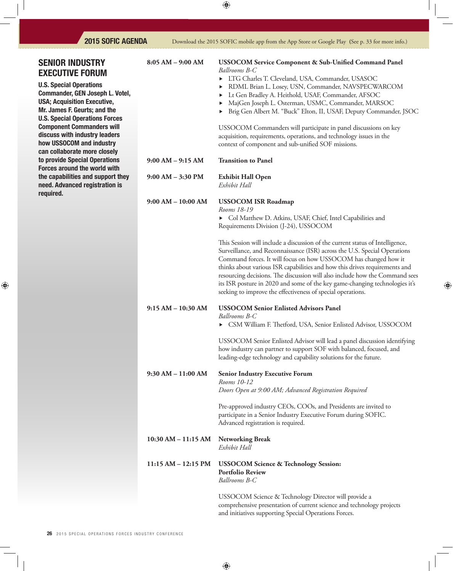and initiatives supporting Special Operations Forces.

| <b>SENIOR INDUSTRY</b><br><b>EXECUTIVE FORUM</b>                                                                        | $8:05 AM - 9:00 AM$     | USSOCOM Service Component & Sub-Unified Command Panel<br>Ballrooms B-C<br>> LTG Charles T. Cleveland, USA, Commander, USASOC                                                                                                                                                                                                                                                                                                                                                                                                             |
|-------------------------------------------------------------------------------------------------------------------------|-------------------------|------------------------------------------------------------------------------------------------------------------------------------------------------------------------------------------------------------------------------------------------------------------------------------------------------------------------------------------------------------------------------------------------------------------------------------------------------------------------------------------------------------------------------------------|
| <b>U.S. Special Operations</b><br>Commander, GEN Joseph L. Votel,<br><b>USA; Acquisition Executive,</b>                 |                         | RDML Brian L. Losey, USN, Commander, NAVSPECWARCOM<br>▶<br>Lt Gen Bradley A. Heithold, USAF, Commander, AFSOC<br>▶<br>MajGen Joseph L. Osterman, USMC, Commander, MARSOC                                                                                                                                                                                                                                                                                                                                                                 |
| Mr. James F. Geurts; and the<br><b>U.S. Special Operations Forces</b>                                                   |                         | Brig Gen Albert M. "Buck" Elton, II, USAF, Deputy Commander, JSOC                                                                                                                                                                                                                                                                                                                                                                                                                                                                        |
| <b>Component Commanders will</b><br>discuss with industry leaders<br>how USSOCOM and industry                           |                         | USSOCOM Commanders will participate in panel discussions on key<br>acquisition, requirements, operations, and technology issues in the<br>context of component and sub-unified SOF missions.                                                                                                                                                                                                                                                                                                                                             |
| can collaborate more closely<br>to provide Special Operations                                                           | $9:00$ AM $-9:15$ AM    | <b>Transition to Panel</b>                                                                                                                                                                                                                                                                                                                                                                                                                                                                                                               |
| <b>Forces around the world with</b><br>the capabilities and support they<br>need. Advanced registration is<br>required. | $9:00$ AM $-3:30$ PM    | <b>Exhibit Hall Open</b><br>Exhibit Hall                                                                                                                                                                                                                                                                                                                                                                                                                                                                                                 |
|                                                                                                                         | $9:00 AM - 10:00 AM$    | <b>USSOCOM ISR Roadmap</b><br>Rooms 18-19<br>Col Matthew D. Atkins, USAF, Chief, Intel Capabilities and<br>Requirements Division (J-24), USSOCOM                                                                                                                                                                                                                                                                                                                                                                                         |
|                                                                                                                         |                         | This Session will include a discussion of the current status of Intelligence,<br>Surveillance, and Reconnaissance (ISR) across the U.S. Special Operations<br>Command forces. It will focus on how USSOCOM has changed how it<br>thinks about various ISR capabilities and how this drives requirements and<br>resourcing decisions. The discussion will also include how the Command sees<br>its ISR posture in 2020 and some of the key game-changing technologies it's<br>seeking to improve the effectiveness of special operations. |
|                                                                                                                         | $9:15 AM - 10:30 AM$    | <b>USSOCOM Senior Enlisted Advisors Panel</b><br>Ballrooms B-C<br>CSM William F. Thetford, USA, Senior Enlisted Advisor, USSOCOM                                                                                                                                                                                                                                                                                                                                                                                                         |
|                                                                                                                         |                         | USSOCOM Senior Enlisted Advisor will lead a panel discussion identifying<br>how industry can partner to support SOF with balanced, focused, and<br>leading-edge technology and capability solutions for the future.                                                                                                                                                                                                                                                                                                                      |
|                                                                                                                         | $9:30$ AM $-11:00$ AM   | <b>Senior Industry Executive Forum</b><br>Rooms 10-12<br>Doors Open at 9:00 AM; Advanced Registration Required                                                                                                                                                                                                                                                                                                                                                                                                                           |
|                                                                                                                         |                         | Pre-approved industry CEOs, COOs, and Presidents are invited to<br>participate in a Senior Industry Executive Forum during SOFIC.<br>Advanced registration is required.                                                                                                                                                                                                                                                                                                                                                                  |
|                                                                                                                         | $10:30$ AM $- 11:15$ AM | Networking Break<br>Exhibit Hall                                                                                                                                                                                                                                                                                                                                                                                                                                                                                                         |
|                                                                                                                         | 11:15 AM - 12:15 PM     | <b>USSOCOM Science &amp; Technology Session:</b><br><b>Portfolio Review</b><br>Ballrooms B-C                                                                                                                                                                                                                                                                                                                                                                                                                                             |
|                                                                                                                         |                         | USSOCOM Science & Technology Director will provide a<br>comprehensive presentation of current science and technology projects                                                                                                                                                                                                                                                                                                                                                                                                            |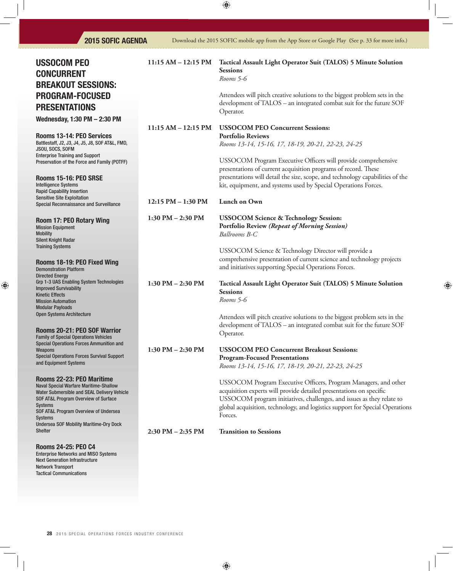| <b>USSOCOM PEO</b><br><b>CONCURRENT</b><br><b>BREAKOUT SESSIONS:</b>                                                                                                                                                                                                                             | $11:15 AM - 12:15 PM$ | Tactical Assault Light Operator Suit (TALOS) 5 Minute Solution<br><b>Sessions</b><br>Rooms 5-6                                                                                                                                                                                                             |
|--------------------------------------------------------------------------------------------------------------------------------------------------------------------------------------------------------------------------------------------------------------------------------------------------|-----------------------|------------------------------------------------------------------------------------------------------------------------------------------------------------------------------------------------------------------------------------------------------------------------------------------------------------|
| <b>PROGRAM-FOCUSED</b><br><b>PRESENTATIONS</b>                                                                                                                                                                                                                                                   |                       | Attendees will pitch creative solutions to the biggest problem sets in the<br>development of TALOS - an integrated combat suit for the future SOF<br>Operator.                                                                                                                                             |
| Wednesday, 1:30 PM - 2:30 PM                                                                                                                                                                                                                                                                     | 11:15 AM - 12:15 PM   | <b>USSOCOM PEO Concurrent Sessions:</b>                                                                                                                                                                                                                                                                    |
| Rooms 13-14: PEO Services<br>Battlestaff, J2, J3, J4, J5, J8, S0F AT&L, FMD,<br>JSOU, SOCS, SOFM                                                                                                                                                                                                 |                       | <b>Portfolio Reviews</b><br>Rooms 13-14, 15-16, 17, 18-19, 20-21, 22-23, 24-25                                                                                                                                                                                                                             |
| <b>Enterprise Training and Support</b><br>Preservation of the Force and Family (POTFF)                                                                                                                                                                                                           |                       | USSOCOM Program Executive Officers will provide comprehensive<br>presentations of current acquisition programs of record. These                                                                                                                                                                            |
| Rooms 15-16: PEO SRSE<br><b>Intelligence Systems</b><br><b>Rapid Capability Insertion</b>                                                                                                                                                                                                        |                       | presentations will detail the size, scope, and technology capabilities of the<br>kit, equipment, and systems used by Special Operations Forces.                                                                                                                                                            |
| <b>Sensitive Site Exploitation</b><br>Special Reconnaissance and Surveillance                                                                                                                                                                                                                    | 12:15 PM - 1:30 PM    | Lunch on Own                                                                                                                                                                                                                                                                                               |
| <b>Room 17: PEO Rotary Wing</b><br><b>Mission Equipment</b><br><b>Mobility</b><br><b>Silent Knight Radar</b>                                                                                                                                                                                     | 1:30 PM $-$ 2:30 PM   | <b>USSOCOM Science &amp; Technology Session:</b><br>Portfolio Review (Repeat of Morning Session)<br>Ballrooms B-C                                                                                                                                                                                          |
| <b>Training Systems</b><br>Rooms 18-19: PEO Fixed Wing<br><b>Demonstration Platform</b>                                                                                                                                                                                                          |                       | USSOCOM Science & Technology Director will provide a<br>comprehensive presentation of current science and technology projects<br>and initiatives supporting Special Operations Forces.                                                                                                                     |
| <b>Directed Energy</b><br>Grp 1-3 UAS Enabling System Technologies<br><b>Improved Survivability</b><br><b>Kinetic Effects</b><br><b>Mission Automation</b><br><b>Modular Payloads</b>                                                                                                            | $1:30$ PM $- 2:30$ PM | Tactical Assault Light Operator Suit (TALOS) 5 Minute Solution<br><b>Sessions</b><br>Rooms 5-6                                                                                                                                                                                                             |
| <b>Open Systems Architecture</b><br>Rooms 20-21: PEO SOF Warrior                                                                                                                                                                                                                                 |                       | Attendees will pitch creative solutions to the biggest problem sets in the<br>development of TALOS - an integrated combat suit for the future SOF<br>Operator.                                                                                                                                             |
| <b>Family of Special Operations Vehicles</b><br>Special Operations Forces Ammunition and<br>Weapons<br><b>Special Operations Forces Survival Support</b><br>and Equipment Systems                                                                                                                | 1:30 PM - 2:30 PM     | <b>USSOCOM PEO Concurrent Breakout Sessions:</b><br><b>Program-Focused Presentations</b><br>Rooms 13-14, 15-16, 17, 18-19, 20-21, 22-23, 24-25                                                                                                                                                             |
| Rooms 22-23: PEO Maritime<br><b>Naval Special Warfare Maritime-Shallow</b><br>Water Submersible and SEAL Delivery Vehicle<br>SOF AT&L Program Overview of Surface<br><b>Systems</b><br>SOF AT&L Program Overview of Undersea<br><b>Systems</b><br><b>Undersea SOF Mobility Maritime-Dry Dock</b> |                       | USSOCOM Program Executive Officers, Program Managers, and other<br>acquisition experts will provide detailed presentations on specific<br>USSOCOM program initiatives, challenges, and issues as they relate to<br>global acquisition, technology, and logistics support for Special Operations<br>Forces. |
| <b>Shelter</b>                                                                                                                                                                                                                                                                                   | 2:30 PM - 2:35 PM     | <b>Transition to Sessions</b>                                                                                                                                                                                                                                                                              |
| <b>Rooms 24-25: PEO C4</b>                                                                                                                                                                                                                                                                       |                       |                                                                                                                                                                                                                                                                                                            |

Enterprise Networks and MISO Systems Next Generation Infrastructure

Network Transport Tactical Communications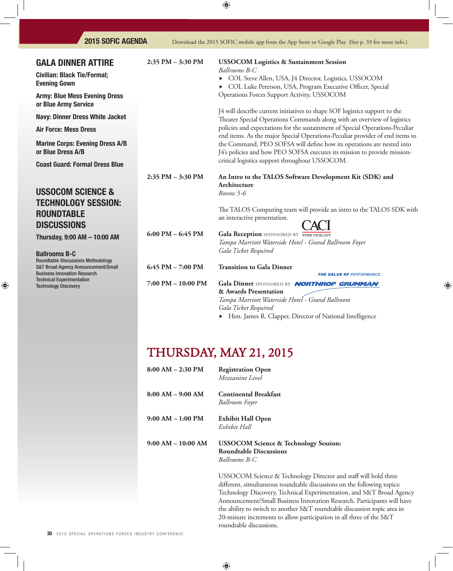| <b>2015 SOFIC AGENDA</b>                                                                                                                                                                       |                                     | Download the 2015 SOFIC mobile app from the App Store or Google Play (See p. 33 for more info.)                                                                                                                                           |
|------------------------------------------------------------------------------------------------------------------------------------------------------------------------------------------------|-------------------------------------|-------------------------------------------------------------------------------------------------------------------------------------------------------------------------------------------------------------------------------------------|
| <b>GALA DINNER ATTIRE</b><br><b>Civilian: Black Tie/Formal;</b><br><b>Evening Gown</b><br><b>Army: Blue Mess Evening Dress</b>                                                                 | 2:35 PM - 3:30 PM                   | <b>USSOCOM Logistics &amp; Sustainment Session</b><br>Ballrooms B-C<br>COL Steve Allen, USA, J4 Director, Logistics, USSOCOM<br>COL Luke Peterson, USA, Program Executive Officer, Special<br>Operations Forces Support Activity, USSOCOM |
| or Blue Army Service                                                                                                                                                                           |                                     | J4 will describe current initiatives to shape SOF logistics support to the                                                                                                                                                                |
| <b>Navy: Dinner Dress White Jacket</b>                                                                                                                                                         |                                     | Theater Special Operations Commands along with an overview of logistics                                                                                                                                                                   |
| <b>Air Force: Mess Dress</b>                                                                                                                                                                   |                                     | policies and expectations for the sustainment of Special Operations-Peculiar<br>end items. As the major Special Operations-Peculiar provider of end items to                                                                              |
| <b>Marine Corps: Evening Dress A/B</b><br>or Blue Dress A/B                                                                                                                                    |                                     | the Command, PEO SOFSA will define how its operations are nested into<br>J4's policies and how PEO SOFSA executes its mission to provide mission-<br>critical logistics support throughout USSOCOM.                                       |
| <b>Coast Guard: Formal Dress Blue</b>                                                                                                                                                          |                                     |                                                                                                                                                                                                                                           |
|                                                                                                                                                                                                | 2:35 PM - 3:30 PM                   | An Intro to the TALOS Software Development Kit (SDK) and                                                                                                                                                                                  |
| <b>USSOCOM SCIENCE &amp;</b><br><b>TECHNOLOGY SESSION:</b><br><b>ROUNDTABLE</b><br><b>DISCUSSIONS</b>                                                                                          |                                     | Architecture<br>Rooms 5-6<br>The TALOS Computing team will provide an intro to the TALOS SDK with<br>an interactive presentation.                                                                                                         |
| Thursday, 9:00 AM - 10:00 AM                                                                                                                                                                   | $6:00 \text{ PM} - 6:45 \text{ PM}$ | Gala Reception SPONSORED BY EVER VIGILANT<br>Tampa Marriott Waterside Hotel - Grand Ballroom Foyer<br>Gala Ticket Required                                                                                                                |
| <b>Ballrooms B-C</b><br><b>Roundtable Discussions Methodology</b><br><b>S&amp;T Broad Agency Announcement/Small</b><br><b>Business Innovation Research</b><br><b>Technical Experimentation</b> | 6:45 PM - 7:00 PM                   | <b>Transition to Gala Dinner</b><br>THE VALUE OF PERFORMANCE.                                                                                                                                                                             |
| <b>Technology Discovery</b>                                                                                                                                                                    | $7:00$ PM $-$ 10:00 PM              | Gala Dinner SPONSORED BY NORTHROP GRUMMAN<br>& Awards Presentation<br>Tampa Marriott Waterside Hotel - Grand Ballroom<br>Gala Ticket Required                                                                                             |

Hon. James R. Clapper, Director of National Intelligence

# THURSDAY, MAY 21, 2015

| $8:00 AM - 2:30 PM$  | <b>Registration Open</b><br>Mezzanine Level                                                                                                    |
|----------------------|------------------------------------------------------------------------------------------------------------------------------------------------|
| $8:00 AM - 9:00 AM$  | <b>Continental Breakfast</b><br><b>Ballroom Foyer</b>                                                                                          |
| $9:00 AM - 1:00 PM$  | <b>Exhibit Hall Open</b><br>Exhibit Hall                                                                                                       |
| $9:00 AM - 10:00 AM$ | <b>USSOCOM Science &amp; Technology Session:</b><br><b>Roundtable Discussions</b><br>Ballrooms B-C                                             |
|                      | USSOCOM Science & Technology Director and<br>different, simultaneous roundtable discussions of<br>Technology Discovery Technical Experimentati |

and staff will hold three on the following topics: Technology Discovery, Technical Experimentation, and S&T Broad Agency Announcement/Small Business Innovation Research. Participants will have the ability to switch to another S&T roundtable discussion topic area in 20-minute increments to allow participation in all three of the S&T roundtable discussions.